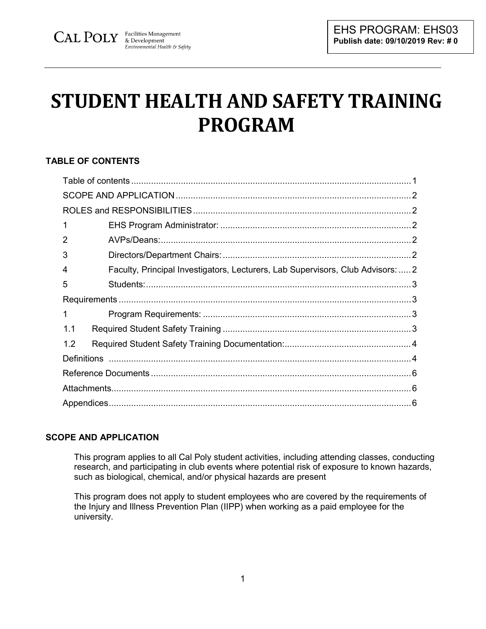# $\textbf{CAL} \; \textbf{POLY} \; \; \textit{\tiny\begin{subarray}{c} \textit{Facilities Management} \\ \textit{Environment} \end{subarray}} \; \textit{\tiny\begin{subarray}{c} \textit{Facible} \\ \textit{Environment} \end{subarray}}$

# **STUDENT HEALTH AND SAFETY TRAINING PROGRAM**

# <span id="page-0-0"></span>**TABLE OF CONTENTS**

| 1                                                                                    |  |
|--------------------------------------------------------------------------------------|--|
| 2                                                                                    |  |
| 3                                                                                    |  |
| Faculty, Principal Investigators, Lecturers, Lab Supervisors, Club Advisors:  2<br>4 |  |
| 5                                                                                    |  |
|                                                                                      |  |
| $\mathbf 1$                                                                          |  |
| 1.1                                                                                  |  |
| 1.2                                                                                  |  |
|                                                                                      |  |
|                                                                                      |  |
|                                                                                      |  |
|                                                                                      |  |

# <span id="page-0-1"></span>**SCOPE AND APPLICATION**

This program applies to all Cal Poly student activities, including attending classes, conducting research, and participating in club events where potential risk of exposure to known hazards, such as biological, chemical, and/or physical hazards are present

This program does not apply to student employees who are covered by the requirements of the Injury and Illness Prevention Plan (IIPP) when working as a paid employee for the university.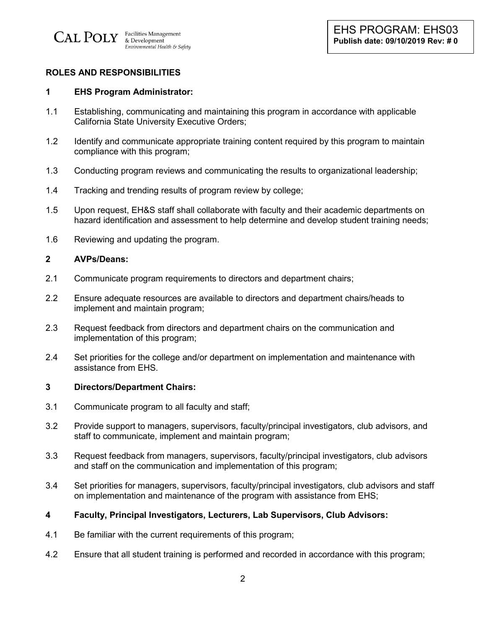

 $\textbf{CAL} \; \textbf{POLY} \; \; \textit{\tiny\begin{subarray}{c} \textit{Facilities Management} \\ \textit{Expicromental Health & Safety} \end{subarray}}$ 

# <span id="page-1-0"></span>**ROLES AND RESPONSIBILITIES**

# <span id="page-1-1"></span>**1 EHS Program Administrator:**

- 1.1 Establishing, communicating and maintaining this program in accordance with applicable California State University Executive Orders;
- 1.2 Identify and communicate appropriate training content required by this program to maintain compliance with this program;
- 1.3 Conducting program reviews and communicating the results to organizational leadership;
- 1.4 Tracking and trending results of program review by college;
- 1.5 Upon request, EH&S staff shall collaborate with faculty and their academic departments on hazard identification and assessment to help determine and develop student training needs;
- 1.6 Reviewing and updating the program.

#### <span id="page-1-2"></span>**2 AVPs/Deans:**

- 2.1 Communicate program requirements to directors and department chairs;
- 2.2 Ensure adequate resources are available to directors and department chairs/heads to implement and maintain program;
- 2.3 Request feedback from directors and department chairs on the communication and implementation of this program;
- 2.4 Set priorities for the college and/or department on implementation and maintenance with assistance from EHS.

#### <span id="page-1-3"></span>**3 Directors/Department Chairs:**

- 3.1 Communicate program to all faculty and staff;
- 3.2 Provide support to managers, supervisors, faculty/principal investigators, club advisors, and staff to communicate, implement and maintain program;
- 3.3 Request feedback from managers, supervisors, faculty/principal investigators, club advisors and staff on the communication and implementation of this program;
- 3.4 Set priorities for managers, supervisors, faculty/principal investigators, club advisors and staff on implementation and maintenance of the program with assistance from EHS;

#### <span id="page-1-4"></span>**4 Faculty, Principal Investigators, Lecturers, Lab Supervisors, Club Advisors:**

- 4.1 Be familiar with the current requirements of this program;
- 4.2 Ensure that all student training is performed and recorded in accordance with this program;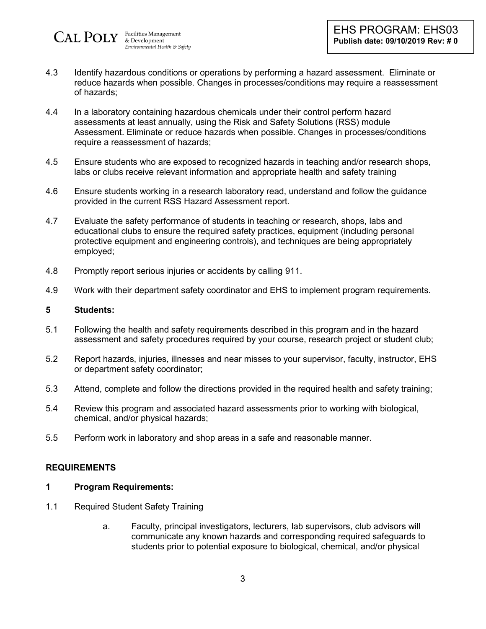

- 4.3 Identify hazardous conditions or operations by performing a hazard assessment. Eliminate or reduce hazards when possible. Changes in processes/conditions may require a reassessment of hazards;
- 4.4 In a laboratory containing hazardous chemicals under their control perform hazard assessments at least annually, using the Risk and Safety Solutions (RSS) module Assessment. Eliminate or reduce hazards when possible. Changes in processes/conditions require a reassessment of hazards;
- 4.5 Ensure students who are exposed to recognized hazards in teaching and/or research shops, labs or clubs receive relevant information and appropriate health and safety training
- 4.6 Ensure students working in a research laboratory read, understand and follow the guidance provided in the current RSS Hazard Assessment report.
- 4.7 Evaluate the safety performance of students in teaching or research, shops, labs and educational clubs to ensure the required safety practices, equipment (including personal protective equipment and engineering controls), and techniques are being appropriately employed;
- 4.8 Promptly report serious injuries or accidents by calling 911.
- 4.9 Work with their department safety coordinator and EHS to implement program requirements.

#### <span id="page-2-0"></span>**5 Students:**

- 5.1 Following the health and safety requirements described in this program and in the hazard assessment and safety procedures required by your course, research project or student club;
- 5.2 Report hazards, injuries, illnesses and near misses to your supervisor, faculty, instructor, EHS or department safety coordinator;
- 5.3 Attend, complete and follow the directions provided in the required health and safety training;
- 5.4 Review this program and associated hazard assessments prior to working with biological, chemical, and/or physical hazards;
- 5.5 Perform work in laboratory and shop areas in a safe and reasonable manner.

#### <span id="page-2-1"></span>**REQUIREMENTS**

# <span id="page-2-2"></span>**1 Program Requirements:**

- <span id="page-2-3"></span>1.1 Required Student Safety Training
	- a. Faculty, principal investigators, lecturers, lab supervisors, club advisors will communicate any known hazards and corresponding required safeguards to students prior to potential exposure to biological, chemical, and/or physical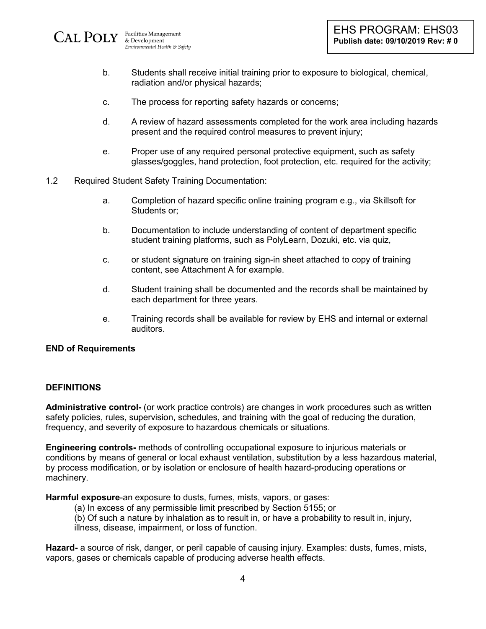

- b. Students shall receive initial training prior to exposure to biological, chemical, radiation and/or physical hazards;
- c. The process for reporting safety hazards or concerns;
- d. A review of hazard assessments completed for the work area including hazards present and the required control measures to prevent injury;
- e. Proper use of any required personal protective equipment, such as safety glasses/goggles, hand protection, foot protection, etc. required for the activity;
- <span id="page-3-0"></span>1.2 Required Student Safety Training Documentation:
	- a. Completion of hazard specific online training program e.g., via Skillsoft for Students or;
	- b. Documentation to include understanding of content of department specific student training platforms, such as PolyLearn, Dozuki, etc. via quiz,
	- c. or student signature on training sign-in sheet attached to copy of training content, see Attachment A for example.
	- d. Student training shall be documented and the records shall be maintained by each department for three years.
	- e. Training records shall be available for review by EHS and internal or external auditors.

#### **END of Requirements**

#### <span id="page-3-1"></span>**DEFINITIONS**

**Administrative control-** (or work practice controls) are changes in work procedures such as written safety policies, rules, supervision, schedules, and training with the goal of reducing the duration, frequency, and severity of exposure to hazardous chemicals or situations.

**Engineering controls-** methods of controlling occupational exposure to injurious materials or conditions by means of general or local exhaust ventilation, substitution by a less hazardous material, by process modification, or by isolation or enclosure of health hazard-producing operations or machinery.

**Harmful exposure**-an exposure to dusts, fumes, mists, vapors, or gases:

(a) In excess of any permissible limit prescribed by Section 5155; or

(b) Of such a nature by inhalation as to result in, or have a probability to result in, injury, illness, disease, impairment, or loss of function.

**Hazard-** a source of risk, danger, or peril capable of causing injury. Examples: dusts, fumes, mists, vapors, gases or chemicals capable of producing adverse health effects.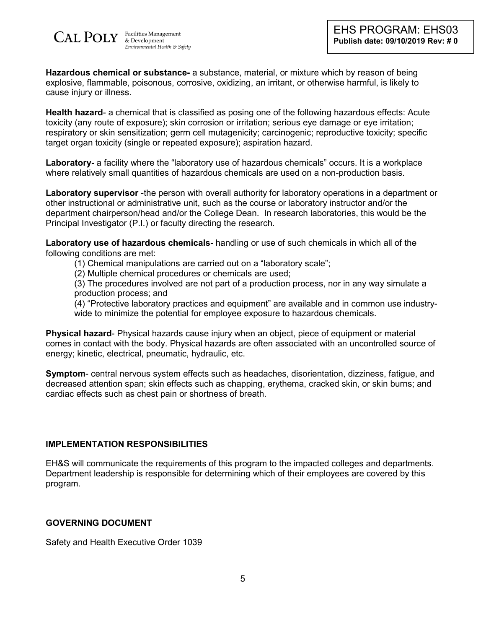

**Hazardous chemical or substance-** a substance, material, or mixture which by reason of being explosive, flammable, poisonous, corrosive, oxidizing, an irritant, or otherwise harmful, is likely to cause injury or illness.

**Health hazard**- a chemical that is classified as posing one of the following hazardous effects: Acute toxicity (any route of exposure); skin corrosion or irritation; serious eye damage or eye irritation; respiratory or skin sensitization; germ cell mutagenicity; carcinogenic; reproductive toxicity; specific target organ toxicity (single or repeated exposure); aspiration hazard.

**Laboratory-** a facility where the "laboratory use of hazardous chemicals" occurs. It is a workplace where relatively small quantities of hazardous chemicals are used on a non-production basis.

**Laboratory supervisor** -the person with overall authority for laboratory operations in a department or other instructional or administrative unit, such as the course or laboratory instructor and/or the department chairperson/head and/or the College Dean. In research laboratories, this would be the Principal Investigator (P.I.) or faculty directing the research.

**Laboratory use of hazardous chemicals-** handling or use of such chemicals in which all of the following conditions are met:

(1) Chemical manipulations are carried out on a "laboratory scale";

(2) Multiple chemical procedures or chemicals are used;

(3) The procedures involved are not part of a production process, nor in any way simulate a production process; and

(4) "Protective laboratory practices and equipment" are available and in common use industrywide to minimize the potential for employee exposure to hazardous chemicals.

**Physical hazard**- Physical hazards cause injury when an object, piece of equipment or material comes in contact with the body. Physical hazards are often associated with an uncontrolled source of energy; kinetic, electrical, pneumatic, hydraulic, etc.

**Symptom**- central nervous system effects such as headaches, disorientation, dizziness, fatigue, and decreased attention span; skin effects such as chapping, erythema, cracked skin, or skin burns; and cardiac effects such as chest pain or shortness of breath.

# **IMPLEMENTATION RESPONSIBILITIES**

EH&S will communicate the requirements of this program to the impacted colleges and departments. Department leadership is responsible for determining which of their employees are covered by this program.

# **GOVERNING DOCUMENT**

Safety and Health Executive Order 1039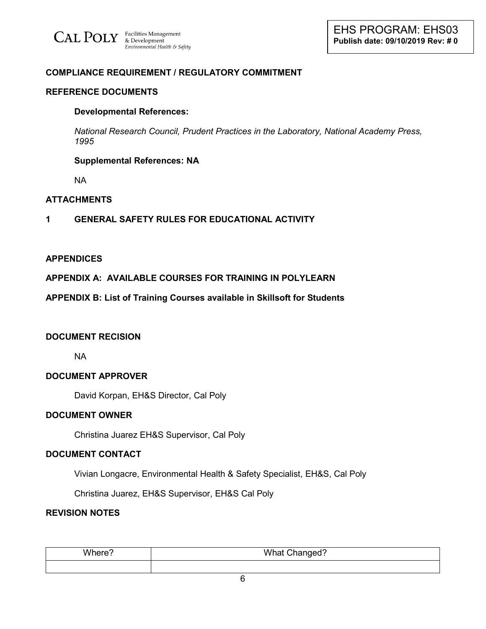

# **COMPLIANCE REQUIREMENT / REGULATORY COMMITMENT**

#### <span id="page-5-0"></span>**REFERENCE DOCUMENTS**

#### **Developmental References:**

*National Research Council, Prudent Practices in the Laboratory, National Academy Press, 1995*

#### **Supplemental References: NA**

NA

#### <span id="page-5-1"></span>**ATTACHMENTS**

# **1 GENERAL SAFETY RULES FOR EDUCATIONAL ACTIVITY**

#### <span id="page-5-2"></span>**APPENDICES**

# **APPENDIX A: AVAILABLE COURSES FOR TRAINING IN POLYLEARN**

# **APPENDIX B: List of Training Courses available in Skillsoft for Students**

#### **DOCUMENT RECISION**

NA

#### **DOCUMENT APPROVER**

David Korpan, EH&S Director, Cal Poly

#### **DOCUMENT OWNER**

Christina Juarez EH&S Supervisor, Cal Poly

# **DOCUMENT CONTACT**

Vivian Longacre, Environmental Health & Safety Specialist, EH&S, Cal Poly

Christina Juarez, EH&S Supervisor, EH&S Cal Poly

## **REVISION NOTES**

| Where's | What Changed? |
|---------|---------------|
|         |               |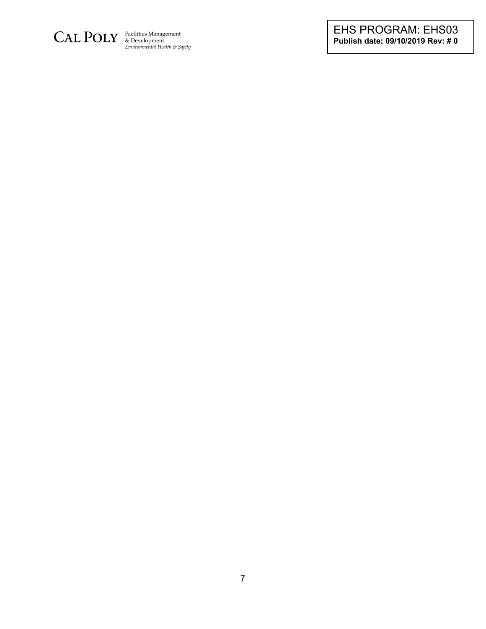

 $\textbf{CAL} \; \textbf{POLY} \; \; \textit{\tiny\begin{subarray}{c} \textit{Facilities Management} \\ \textit{Expicromment} \end{subarray}} \; \textit{\tiny\begin{subarray}{c} \textit{Faclibries } \textit{Management} \\ \textit{Enriorimental Health & Safety} \end{subarray}}$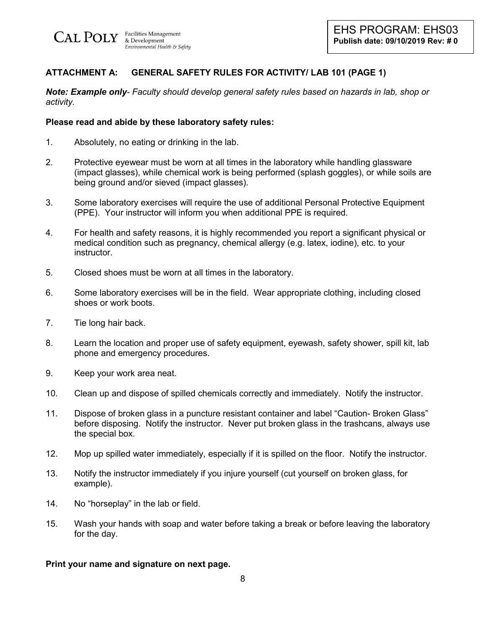

# **ATTACHMENT A: GENERAL SAFETY RULES FOR ACTIVITY/ LAB 101 (PAGE 1)**

*Note: Example only- Faculty should develop general safety rules based on hazards in lab, shop or activity.*

#### **Please read and abide by these laboratory safety rules:**

- 1. Absolutely, no eating or drinking in the lab.
- 2. Protective eyewear must be worn at all times in the laboratory while handling glassware (impact glasses), while chemical work is being performed (splash goggles), or while soils are being ground and/or sieved (impact glasses).
- 3. Some laboratory exercises will require the use of additional Personal Protective Equipment (PPE). Your instructor will inform you when additional PPE is required.
- 4. For health and safety reasons, it is highly recommended you report a significant physical or medical condition such as pregnancy, chemical allergy (e.g. latex, iodine), etc. to your instructor.
- 5. Closed shoes must be worn at all times in the laboratory.
- 6. Some laboratory exercises will be in the field. Wear appropriate clothing, including closed shoes or work boots.
- 7. Tie long hair back.
- 8. Learn the location and proper use of safety equipment, eyewash, safety shower, spill kit, lab phone and emergency procedures.
- 9. Keep your work area neat.
- 10. Clean up and dispose of spilled chemicals correctly and immediately. Notify the instructor.
- 11. Dispose of broken glass in a puncture resistant container and label "Caution- Broken Glass" before disposing. Notify the instructor. Never put broken glass in the trashcans, always use the special box.
- 12. Mop up spilled water immediately, especially if it is spilled on the floor. Notify the instructor.
- 13. Notify the instructor immediately if you injure yourself (cut yourself on broken glass, for example).
- 14. No "horseplay" in the lab or field.
- 15. Wash your hands with soap and water before taking a break or before leaving the laboratory for the day.

#### **Print your name and signature on next page.**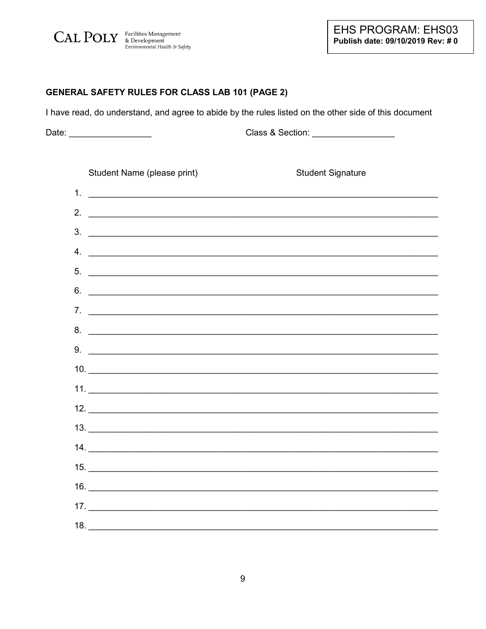

# **GENERAL SAFETY RULES FOR CLASS LAB 101 (PAGE 2)**

I have read, do understand, and agree to abide by the rules listed on the other side of this document

Class & Section: \_\_\_\_\_\_\_\_\_\_\_\_\_\_\_\_\_\_

| Student Name (please print) | <b>Student Signature</b>                                                                                                                                                                                                                                    |
|-----------------------------|-------------------------------------------------------------------------------------------------------------------------------------------------------------------------------------------------------------------------------------------------------------|
|                             |                                                                                                                                                                                                                                                             |
|                             |                                                                                                                                                                                                                                                             |
|                             |                                                                                                                                                                                                                                                             |
|                             |                                                                                                                                                                                                                                                             |
|                             |                                                                                                                                                                                                                                                             |
|                             |                                                                                                                                                                                                                                                             |
|                             |                                                                                                                                                                                                                                                             |
|                             |                                                                                                                                                                                                                                                             |
|                             |                                                                                                                                                                                                                                                             |
|                             |                                                                                                                                                                                                                                                             |
|                             |                                                                                                                                                                                                                                                             |
|                             |                                                                                                                                                                                                                                                             |
|                             |                                                                                                                                                                                                                                                             |
|                             |                                                                                                                                                                                                                                                             |
|                             |                                                                                                                                                                                                                                                             |
|                             |                                                                                                                                                                                                                                                             |
|                             |                                                                                                                                                                                                                                                             |
|                             |                                                                                                                                                                                                                                                             |
|                             | 2. $\qquad \qquad$<br>$3.$ $\overline{\phantom{a}}$<br>4. $\overline{\phantom{a}}$<br>$5.$ $\overline{\phantom{a}}$<br>6.<br>$7.$ $\overline{\phantom{a}}$<br>9.<br>$\begin{array}{c}\n 18. \quad \textcolor{red}{\overline{\qquad \qquad }}\n \end{array}$ |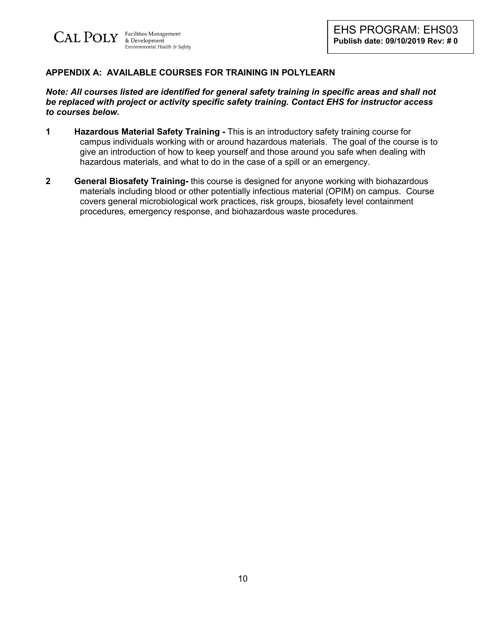

 $\textbf{CAL} \; \textbf{POLY} \; \; \textit{\tiny\begin{subarray}{c} \textit{Facilities Management} \\ \textit{Expicromment} \end{subarray}} \; \textit{\tiny\begin{subarray}{c} \textit{Faclibies March} \\ \textit{Envicommental Health & Safety} \end{subarray}}$ 

# **APPENDIX A: AVAILABLE COURSES FOR TRAINING IN POLYLEARN**

*Note: All courses listed are identified for general safety training in specific areas and shall not be replaced with project or activity specific safety training. Contact EHS for instructor access to courses below.*

- **1 Hazardous Material Safety Training -** This is an introductory safety training course for campus individuals working with or around hazardous materials. The goal of the course is to give an introduction of how to keep yourself and those around you safe when dealing with hazardous materials, and what to do in the case of a spill or an emergency.
- **2 General Biosafety Training-** this course is designed for anyone working with biohazardous materials including blood or other potentially infectious material (OPIM) on campus. Course covers general microbiological work practices, risk groups, biosafety level containment procedures, emergency response, and biohazardous waste procedures.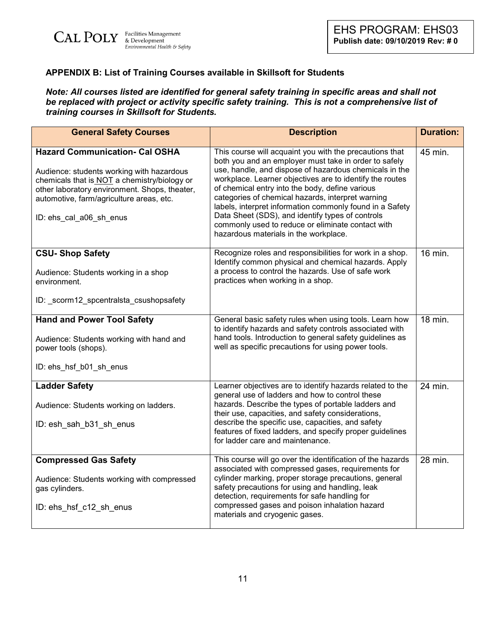

# **APPENDIX B: List of Training Courses available in Skillsoft for Students**

*Note: All courses listed are identified for general safety training in specific areas and shall not be replaced with project or activity specific safety training. This is not a comprehensive list of training courses in Skillsoft for Students.*

| <b>General Safety Courses</b>                                                                                                                                                                                                                              | <b>Description</b>                                                                                                                                                                                                                                                                                                                                                                                                                                                                                                                                           | <b>Duration:</b> |
|------------------------------------------------------------------------------------------------------------------------------------------------------------------------------------------------------------------------------------------------------------|--------------------------------------------------------------------------------------------------------------------------------------------------------------------------------------------------------------------------------------------------------------------------------------------------------------------------------------------------------------------------------------------------------------------------------------------------------------------------------------------------------------------------------------------------------------|------------------|
| <b>Hazard Communication- Cal OSHA</b><br>Audience: students working with hazardous<br>chemicals that is NOT a chemistry/biology or<br>other laboratory environment. Shops, theater,<br>automotive, farm/agriculture areas, etc.<br>ID: ehs_cal_a06_sh_enus | This course will acquaint you with the precautions that<br>both you and an employer must take in order to safely<br>use, handle, and dispose of hazardous chemicals in the<br>workplace. Learner objectives are to identify the routes<br>of chemical entry into the body, define various<br>categories of chemical hazards, interpret warning<br>labels, interpret information commonly found in a Safety<br>Data Sheet (SDS), and identify types of controls<br>commonly used to reduce or eliminate contact with<br>hazardous materials in the workplace. | 45 min.          |
| <b>CSU-Shop Safety</b><br>Audience: Students working in a shop<br>environment.<br>ID: scorm12_spcentralsta_csushopsafety                                                                                                                                   | Recognize roles and responsibilities for work in a shop.<br>Identify common physical and chemical hazards. Apply<br>a process to control the hazards. Use of safe work<br>practices when working in a shop.                                                                                                                                                                                                                                                                                                                                                  | 16 min.          |
| <b>Hand and Power Tool Safety</b><br>Audience: Students working with hand and<br>power tools (shops).<br>ID: ehs_hsf_b01_sh_enus                                                                                                                           | General basic safety rules when using tools. Learn how<br>to identify hazards and safety controls associated with<br>hand tools. Introduction to general safety guidelines as<br>well as specific precautions for using power tools.                                                                                                                                                                                                                                                                                                                         | 18 min.          |
| <b>Ladder Safety</b><br>Audience: Students working on ladders.<br>ID: esh_sah_b31_sh_enus                                                                                                                                                                  | Learner objectives are to identify hazards related to the<br>general use of ladders and how to control these<br>hazards. Describe the types of portable ladders and<br>their use, capacities, and safety considerations,<br>describe the specific use, capacities, and safety<br>features of fixed ladders, and specify proper guidelines<br>for ladder care and maintenance.                                                                                                                                                                                | 24 min.          |
| <b>Compressed Gas Safety</b><br>Audience: Students working with compressed<br>gas cylinders.<br>ID: ehs hsf c12 sh enus                                                                                                                                    | This course will go over the identification of the hazards<br>associated with compressed gases, requirements for<br>cylinder marking, proper storage precautions, general<br>safety precautions for using and handling, leak<br>detection, requirements for safe handling for<br>compressed gases and poison inhalation hazard<br>materials and cryogenic gases.                                                                                                                                                                                             | 28 min.          |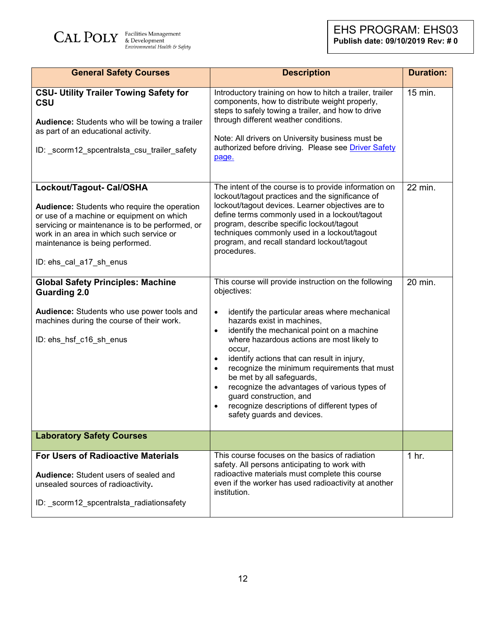

| <b>General Safety Courses</b>                                                                                                                                                                                                                          | <b>Description</b>                                                                                                                                                                                                                                                                                                                                                                                                                                                                                                                                    | <b>Duration:</b>   |
|--------------------------------------------------------------------------------------------------------------------------------------------------------------------------------------------------------------------------------------------------------|-------------------------------------------------------------------------------------------------------------------------------------------------------------------------------------------------------------------------------------------------------------------------------------------------------------------------------------------------------------------------------------------------------------------------------------------------------------------------------------------------------------------------------------------------------|--------------------|
| <b>CSU- Utility Trailer Towing Safety for</b><br><b>CSU</b><br>Audience: Students who will be towing a trailer<br>as part of an educational activity.<br>ID: scorm12 spcentralsta csu trailer safety<br>Lockout/Tagout- Cal/OSHA                       | Introductory training on how to hitch a trailer, trailer<br>components, how to distribute weight properly,<br>steps to safely towing a trailer, and how to drive<br>through different weather conditions.<br>Note: All drivers on University business must be<br>authorized before driving. Please see Driver Safety<br>page.<br>The intent of the course is to provide information on                                                                                                                                                                | 15 min.<br>22 min. |
| Audience: Students who require the operation<br>or use of a machine or equipment on which<br>servicing or maintenance is to be performed, or<br>work in an area in which such service or<br>maintenance is being performed.<br>ID: ehs_cal_a17_sh_enus | lockout/tagout practices and the significance of<br>lockout/tagout devices. Learner objectives are to<br>define terms commonly used in a lockout/tagout<br>program, describe specific lockout/tagout<br>techniques commonly used in a lockout/tagout<br>program, and recall standard lockout/tagout<br>procedures.                                                                                                                                                                                                                                    |                    |
| <b>Global Safety Principles: Machine</b><br><b>Guarding 2.0</b>                                                                                                                                                                                        | This course will provide instruction on the following<br>objectives:                                                                                                                                                                                                                                                                                                                                                                                                                                                                                  | 20 min.            |
| Audience: Students who use power tools and<br>machines during the course of their work.<br>ID: ehs_hsf_c16_sh_enus                                                                                                                                     | identify the particular areas where mechanical<br>$\bullet$<br>hazards exist in machines,<br>identify the mechanical point on a machine<br>$\bullet$<br>where hazardous actions are most likely to<br>occur,<br>identify actions that can result in injury,<br>$\bullet$<br>recognize the minimum requirements that must<br>$\bullet$<br>be met by all safeguards,<br>recognize the advantages of various types of<br>$\bullet$<br>guard construction, and<br>recognize descriptions of different types of<br>$\bullet$<br>safety guards and devices. |                    |
| <b>Laboratory Safety Courses</b>                                                                                                                                                                                                                       |                                                                                                                                                                                                                                                                                                                                                                                                                                                                                                                                                       |                    |
| <b>For Users of Radioactive Materials</b><br><b>Audience:</b> Student users of sealed and<br>unsealed sources of radioactivity.<br>ID: scorm12 spcentralsta radiationsafety                                                                            | This course focuses on the basics of radiation<br>safety. All persons anticipating to work with<br>radioactive materials must complete this course<br>even if the worker has used radioactivity at another<br>institution.                                                                                                                                                                                                                                                                                                                            | 1 <sub>hr.</sub>   |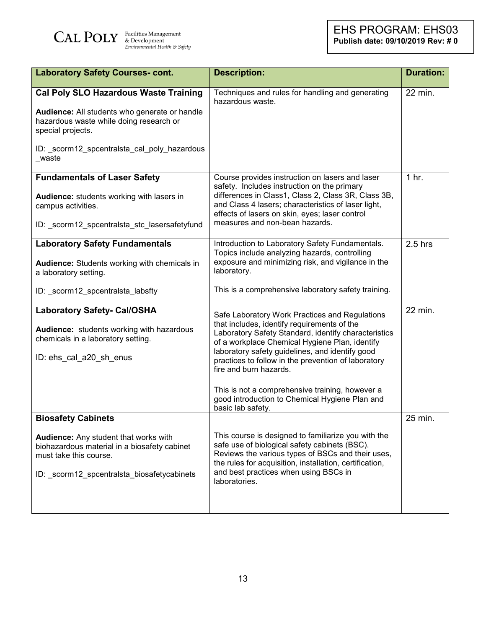

| <b>Laboratory Safety Courses- cont.</b>                                                                                                                              | <b>Description:</b>                                                                                                                                                                                                                                                            | <b>Duration:</b> |
|----------------------------------------------------------------------------------------------------------------------------------------------------------------------|--------------------------------------------------------------------------------------------------------------------------------------------------------------------------------------------------------------------------------------------------------------------------------|------------------|
| <b>Cal Poly SLO Hazardous Waste Training</b>                                                                                                                         | Techniques and rules for handling and generating<br>hazardous waste.                                                                                                                                                                                                           | 22 min.          |
| Audience: All students who generate or handle<br>hazardous waste while doing research or<br>special projects.                                                        |                                                                                                                                                                                                                                                                                |                  |
| ID: scorm12 spcentralsta cal poly hazardous<br>waste                                                                                                                 |                                                                                                                                                                                                                                                                                |                  |
| <b>Fundamentals of Laser Safety</b>                                                                                                                                  | Course provides instruction on lasers and laser<br>safety. Includes instruction on the primary                                                                                                                                                                                 | 1 <sub>hr.</sub> |
| Audience: students working with lasers in<br>campus activities.                                                                                                      | differences in Class1, Class 2, Class 3R, Class 3B,<br>and Class 4 lasers; characteristics of laser light,<br>effects of lasers on skin, eyes; laser control                                                                                                                   |                  |
| ID: scorm12 spcentralsta_stc_lasersafetyfund                                                                                                                         | measures and non-bean hazards.                                                                                                                                                                                                                                                 |                  |
| <b>Laboratory Safety Fundamentals</b>                                                                                                                                | Introduction to Laboratory Safety Fundamentals.<br>Topics include analyzing hazards, controlling                                                                                                                                                                               | $2.5$ hrs        |
| Audience: Students working with chemicals in<br>a laboratory setting.                                                                                                | exposure and minimizing risk, and vigilance in the<br>laboratory.                                                                                                                                                                                                              |                  |
| ID: scorm12_spcentralsta_labsfty                                                                                                                                     | This is a comprehensive laboratory safety training.                                                                                                                                                                                                                            |                  |
| <b>Laboratory Safety- Cal/OSHA</b>                                                                                                                                   | Safe Laboratory Work Practices and Regulations                                                                                                                                                                                                                                 | 22 min.          |
| Audience: students working with hazardous<br>chemicals in a laboratory setting.<br>ID: ehs_cal_a20_sh_enus                                                           | that includes, identify requirements of the<br>Laboratory Safety Standard, identify characteristics<br>of a workplace Chemical Hygiene Plan, identify<br>laboratory safety guidelines, and identify good<br>practices to follow in the prevention of laboratory                |                  |
|                                                                                                                                                                      | fire and burn hazards.                                                                                                                                                                                                                                                         |                  |
|                                                                                                                                                                      | This is not a comprehensive training, however a<br>good introduction to Chemical Hygiene Plan and<br>basic lab safety.                                                                                                                                                         |                  |
| <b>Biosafety Cabinets</b>                                                                                                                                            |                                                                                                                                                                                                                                                                                | 25 min.          |
| <b>Audience:</b> Any student that works with<br>biohazardous material in a biosafety cabinet<br>must take this course.<br>ID: scorm12 spcentralsta biosafetycabinets | This course is designed to familiarize you with the<br>safe use of biological safety cabinets (BSC).<br>Reviews the various types of BSCs and their uses,<br>the rules for acquisition, installation, certification,<br>and best practices when using BSCs in<br>laboratories. |                  |
|                                                                                                                                                                      |                                                                                                                                                                                                                                                                                |                  |